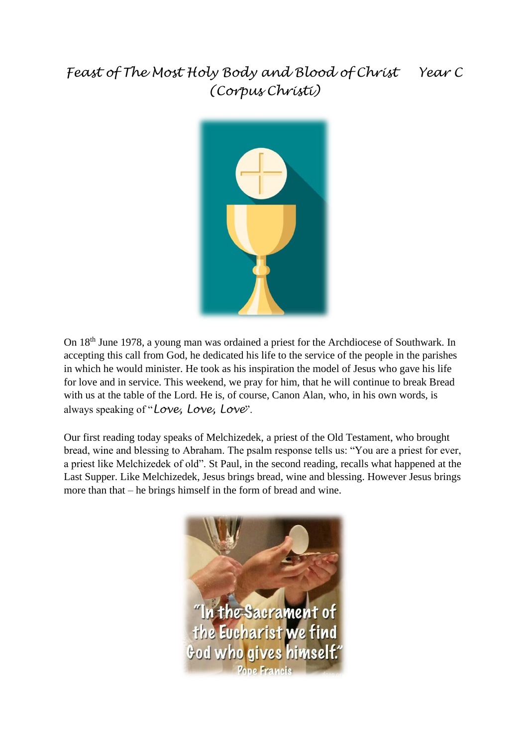## *Feast of The Most Holy Body and Blood of Christ Year C (Corpus Christi)*



On 18th June 1978, a young man was ordained a priest for the Archdiocese of Southwark. In accepting this call from God, he dedicated his life to the service of the people in the parishes in which he would minister. He took as his inspiration the model of Jesus who gave his life for love and in service. This weekend, we pray for him, that he will continue to break Bread with us at the table of the Lord. He is, of course, Canon Alan, who, in his own words, is always speaking of "*Love, Love, Love*".

Our first reading today speaks of Melchizedek, a priest of the Old Testament, who brought bread, wine and blessing to Abraham. The psalm response tells us: "You are a priest for ever, a priest like Melchizedek of old". St Paul, in the second reading, recalls what happened at the Last Supper. Like Melchizedek, Jesus brings bread, wine and blessing. However Jesus brings more than that – he brings himself in the form of bread and wine.